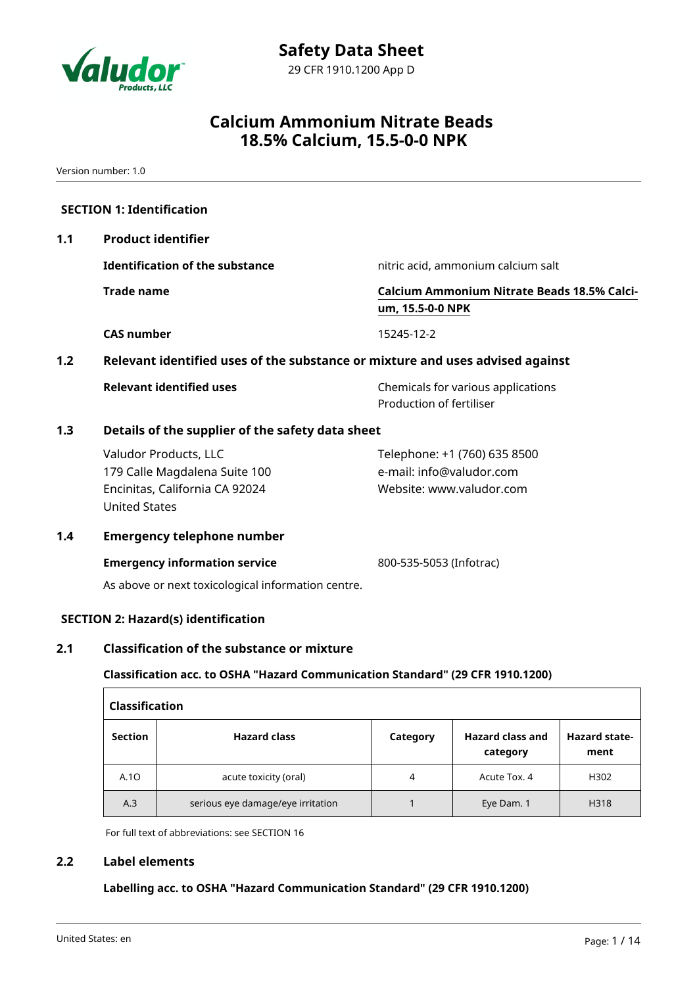

Version number: 1.0

| 1.1                                                                                  | <b>Product identifier</b>                                                                                        |                                                                                      |  |  |  |  |
|--------------------------------------------------------------------------------------|------------------------------------------------------------------------------------------------------------------|--------------------------------------------------------------------------------------|--|--|--|--|
|                                                                                      | <b>Identification of the substance</b>                                                                           | nitric acid, ammonium calcium salt                                                   |  |  |  |  |
|                                                                                      | <b>Trade name</b>                                                                                                | <b>Calcium Ammonium Nitrate Beads 18.5% Calci-</b><br>um, 15.5-0-0 NPK               |  |  |  |  |
|                                                                                      | <b>CAS number</b>                                                                                                | 15245-12-2                                                                           |  |  |  |  |
| Relevant identified uses of the substance or mixture and uses advised against<br>1.2 |                                                                                                                  |                                                                                      |  |  |  |  |
|                                                                                      | <b>Relevant identified uses</b>                                                                                  | Chemicals for various applications<br>Production of fertiliser                       |  |  |  |  |
| 1.3                                                                                  | Details of the supplier of the safety data sheet                                                                 |                                                                                      |  |  |  |  |
|                                                                                      | Valudor Products, LLC<br>179 Calle Magdalena Suite 100<br>Encinitas, California CA 92024<br><b>United States</b> | Telephone: +1 (760) 635 8500<br>e-mail: info@valudor.com<br>Website: www.valudor.com |  |  |  |  |
| 1.4                                                                                  | <b>Emergency telephone number</b>                                                                                |                                                                                      |  |  |  |  |
|                                                                                      | <b>Emergency information service</b><br>As above or next toxicological information centre.                       | 800-535-5053 (Infotrac)                                                              |  |  |  |  |
|                                                                                      | <b>SECTION 2: Hazard(s) identification</b>                                                                       |                                                                                      |  |  |  |  |
| 2.1                                                                                  | <b>Classification of the substance or mixture</b>                                                                |                                                                                      |  |  |  |  |
|                                                                                      | Classification acc. to OSHA "Hazard Communication Standard" (29 CFR 1910.1200)                                   |                                                                                      |  |  |  |  |

| Classification |                                   |          |                                     |                              |  |  |
|----------------|-----------------------------------|----------|-------------------------------------|------------------------------|--|--|
| <b>Section</b> | <b>Hazard class</b>               | Category | <b>Hazard class and</b><br>category | <b>Hazard state-</b><br>ment |  |  |
| A.10           | acute toxicity (oral)             | 4        | Acute Tox. 4                        | H302                         |  |  |
| A.3            | serious eye damage/eye irritation |          | Eye Dam. 1                          | H318                         |  |  |

For full text of abbreviations: see SECTION 16

### **2.2 Label elements**

**Labelling acc. to OSHA "Hazard Communication Standard" (29 CFR 1910.1200)**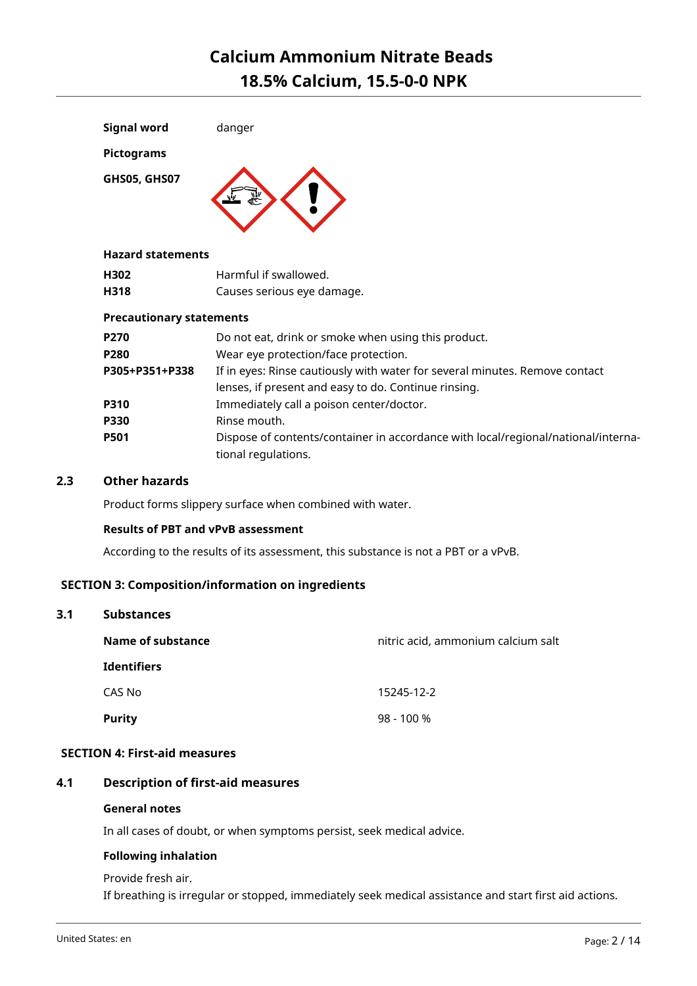| <b>Signal word</b>       | danger |
|--------------------------|--------|
| <b>Pictograms</b>        |        |
| GHS05, GHS07             |        |
| <b>Hazard statements</b> |        |

### **Hazard statements**

| H302 | Harmful if swallowed.      |  |
|------|----------------------------|--|
| H318 | Causes serious eye damage. |  |

### **Precautionary statements**

| P270           | Do not eat, drink or smoke when using this product.                               |  |  |
|----------------|-----------------------------------------------------------------------------------|--|--|
| <b>P280</b>    | Wear eye protection/face protection.                                              |  |  |
| P305+P351+P338 | If in eyes: Rinse cautiously with water for several minutes. Remove contact       |  |  |
|                | lenses, if present and easy to do. Continue rinsing.                              |  |  |
| <b>P310</b>    | Immediately call a poison center/doctor.                                          |  |  |
| <b>P330</b>    | Rinse mouth.                                                                      |  |  |
| <b>P501</b>    | Dispose of contents/container in accordance with local/regional/national/interna- |  |  |
|                | tional regulations.                                                               |  |  |

### **2.3 Other hazards**

Product forms slippery surface when combined with water.

### **Results of PBT and vPvB assessment**

According to the results of its assessment, this substance is not a PBT or a vPvB.

### **SECTION 3: Composition/information on ingredients**

| Name of substance  | nitric acid, ammonium calcium salt |  |  |
|--------------------|------------------------------------|--|--|
| <b>Identifiers</b> |                                    |  |  |
| CAS No             | 15245-12-2                         |  |  |
| <b>Purity</b>      | 98 - 100 %                         |  |  |

### **SECTION 4: First-aid measures**

### **4.1 Description of first-aid measures**

#### **General notes**

In all cases of doubt, or when symptoms persist, seek medical advice.

### **Following inhalation**

Provide fresh air. If breathing is irregular or stopped, immediately seek medical assistance and start first aid actions.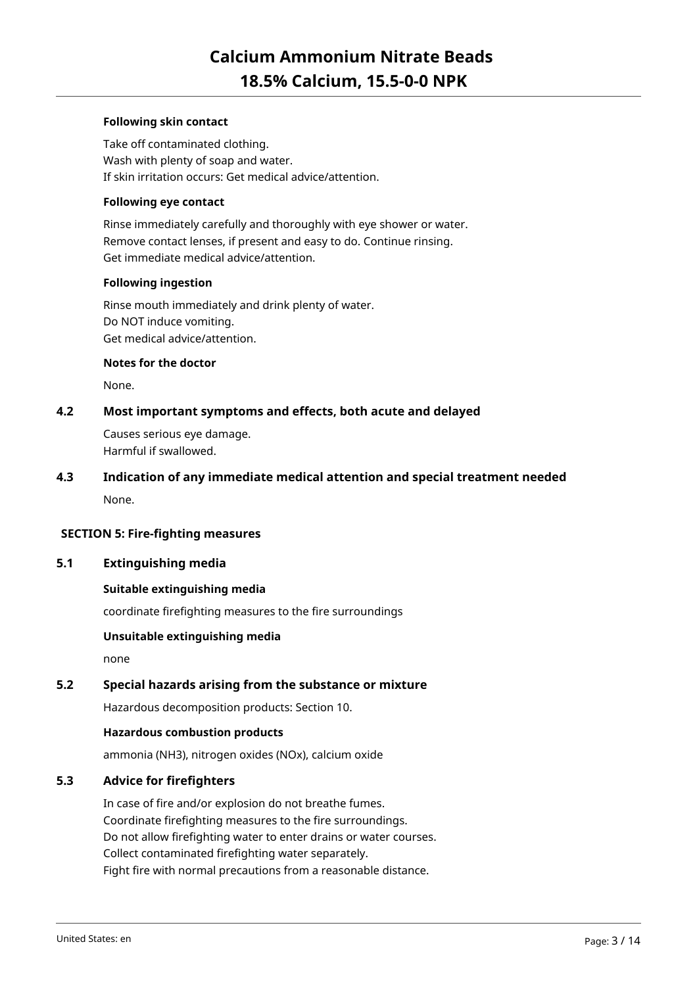### **Following skin contact**

Take off contaminated clothing. Wash with plenty of soap and water. If skin irritation occurs: Get medical advice/attention.

### **Following eye contact**

Rinse immediately carefully and thoroughly with eye shower or water. Remove contact lenses, if present and easy to do. Continue rinsing. Get immediate medical advice/attention.

### **Following ingestion**

Rinse mouth immediately and drink plenty of water. Do NOT induce vomiting. Get medical advice/attention.

#### **Notes for the doctor**

None.

### **4.2 Most important symptoms and effects, both acute and delayed**

Causes serious eye damage. Harmful if swallowed.

# **4.3 Indication of any immediate medical attention and special treatment needed**

None.

### **SECTION 5: Fire-fighting measures**

### **5.1 Extinguishing media**

### **Suitable extinguishing media**

coordinate firefighting measures to the fire surroundings

### **Unsuitable extinguishing media**

none

### **5.2 Special hazards arising from the substance or mixture**

Hazardous decomposition products: Section 10.

#### **Hazardous combustion products**

ammonia (NH3), nitrogen oxides (NOx), calcium oxide

### **5.3 Advice for firefighters**

In case of fire and/or explosion do not breathe fumes. Coordinate firefighting measures to the fire surroundings. Do not allow firefighting water to enter drains or water courses. Collect contaminated firefighting water separately. Fight fire with normal precautions from a reasonable distance.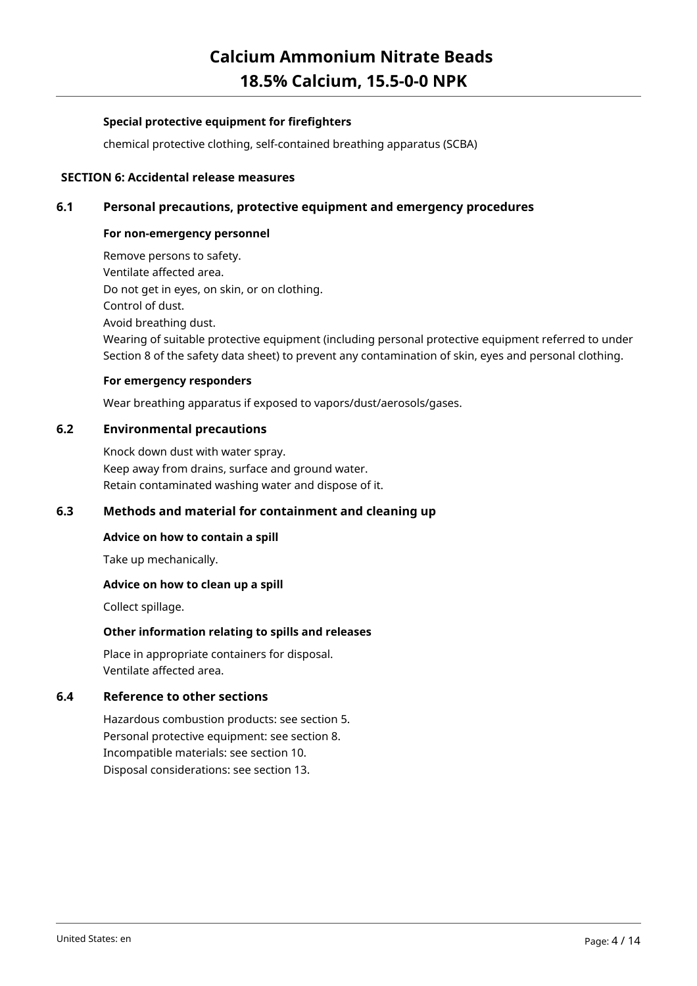### **Special protective equipment for firefighters**

chemical protective clothing, self-contained breathing apparatus (SCBA)

### **SECTION 6: Accidental release measures**

### **6.1 Personal precautions, protective equipment and emergency procedures**

### **For non-emergency personnel**

Remove persons to safety. Ventilate affected area. Do not get in eyes, on skin, or on clothing. Control of dust. Avoid breathing dust. Wearing of suitable protective equipment (including personal protective equipment referred to under Section 8 of the safety data sheet) to prevent any contamination of skin, eyes and personal clothing.

### **For emergency responders**

Wear breathing apparatus if exposed to vapors/dust/aerosols/gases.

### **6.2 Environmental precautions**

Knock down dust with water spray. Keep away from drains, surface and ground water. Retain contaminated washing water and dispose of it.

### **6.3 Methods and material for containment and cleaning up**

### **Advice on how to contain a spill**

Take up mechanically.

### **Advice on how to clean up a spill**

Collect spillage.

### **Other information relating to spills and releases**

Place in appropriate containers for disposal. Ventilate affected area.

### **6.4 Reference to other sections**

Hazardous combustion products: see section 5. Personal protective equipment: see section 8. Incompatible materials: see section 10. Disposal considerations: see section 13.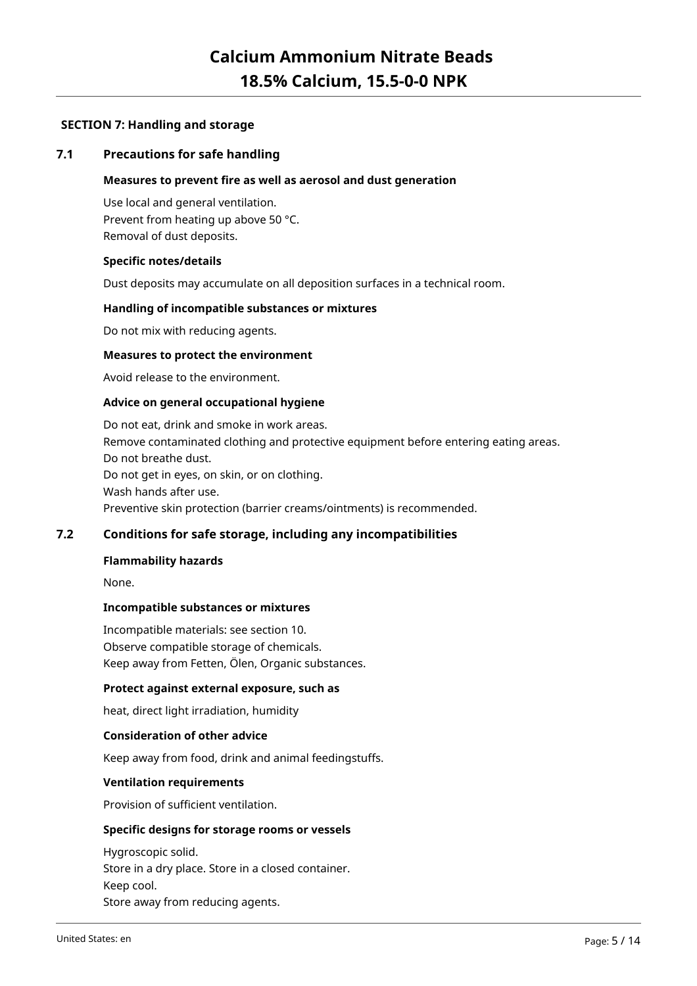### **SECTION 7: Handling and storage**

### **7.1 Precautions for safe handling**

#### **Measures to prevent fire as well as aerosol and dust generation**

Use local and general ventilation. Prevent from heating up above 50 °C. Removal of dust deposits.

#### **Specific notes/details**

Dust deposits may accumulate on all deposition surfaces in a technical room.

#### **Handling of incompatible substances or mixtures**

Do not mix with reducing agents.

#### **Measures to protect the environment**

Avoid release to the environment.

#### **Advice on general occupational hygiene**

Do not eat, drink and smoke in work areas. Remove contaminated clothing and protective equipment before entering eating areas. Do not breathe dust. Do not get in eyes, on skin, or on clothing. Wash hands after use. Preventive skin protection (barrier creams/ointments) is recommended.

### **7.2 Conditions for safe storage, including any incompatibilities**

#### **Flammability hazards**

None.

#### **Incompatible substances or mixtures**

Incompatible materials: see section 10. Observe compatible storage of chemicals. Keep away from Fetten, Ölen, Organic substances.

#### **Protect against external exposure, such as**

heat, direct light irradiation, humidity

#### **Consideration of other advice**

Keep away from food, drink and animal feedingstuffs.

#### **Ventilation requirements**

Provision of sufficient ventilation.

### **Specific designs for storage rooms or vessels**

Hygroscopic solid. Store in a dry place. Store in a closed container. Keep cool. Store away from reducing agents.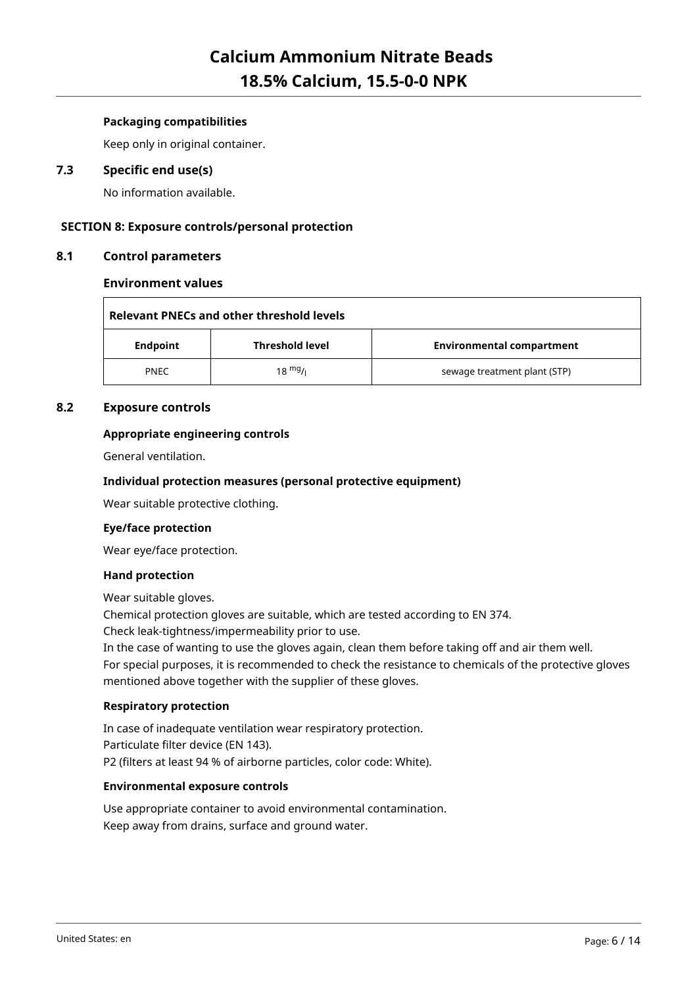### **Packaging compatibilities**

Keep only in original container.

### **7.3 Specific end use(s)**

No information available.

### **SECTION 8: Exposure controls/personal protection**

### **8.1 Control parameters**

### **Environment values**

|                                           | Relevant PNECs and other threshold levels |  |                                  |  |
|-------------------------------------------|-------------------------------------------|--|----------------------------------|--|
| <b>Threshold level</b><br><b>Endpoint</b> |                                           |  | <b>Environmental compartment</b> |  |
|                                           | $18 \frac{mg}{l}$<br><b>PNEC</b>          |  | sewage treatment plant (STP)     |  |

### **8.2 Exposure controls**

### **Appropriate engineering controls**

General ventilation.

### **Individual protection measures (personal protective equipment)**

Wear suitable protective clothing.

### **Eye/face protection**

Wear eye/face protection.

### **Hand protection**

Wear suitable gloves.

Chemical protection gloves are suitable, which are tested according to EN 374.

Check leak-tightness/impermeability prior to use.

In the case of wanting to use the gloves again, clean them before taking off and air them well.

For special purposes, it is recommended to check the resistance to chemicals of the protective gloves mentioned above together with the supplier of these gloves.

### **Respiratory protection**

In case of inadequate ventilation wear respiratory protection. Particulate filter device (EN 143). P2 (filters at least 94 % of airborne particles, color code: White).

### **Environmental exposure controls**

Use appropriate container to avoid environmental contamination. Keep away from drains, surface and ground water.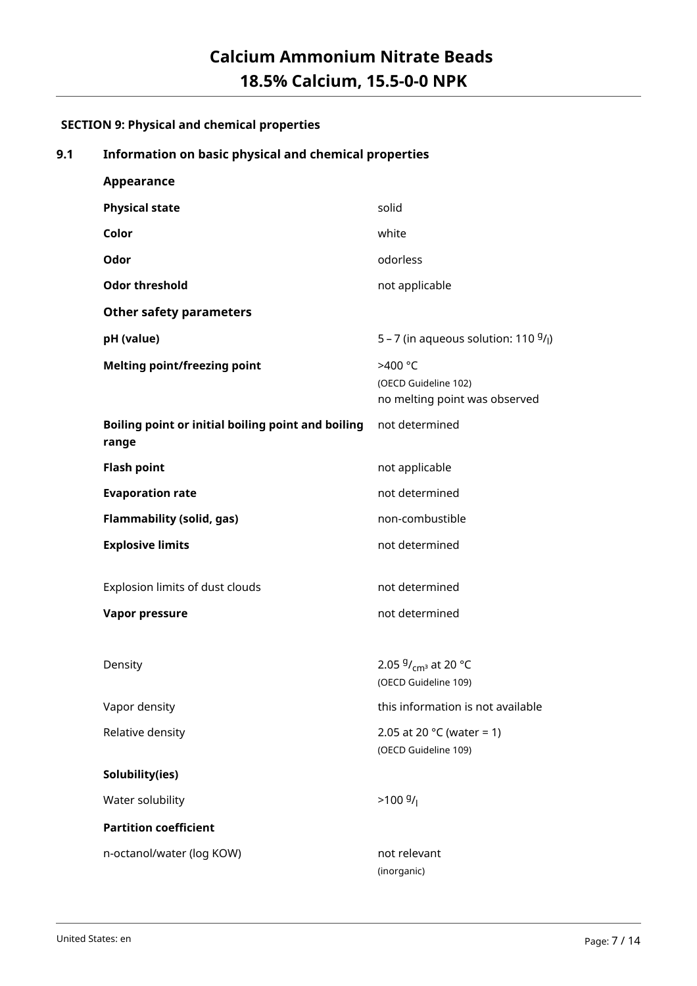### **SECTION 9: Physical and chemical properties**

### **9.1 Information on basic physical and chemical properties**

| Appearance                                                  |                                                                  |
|-------------------------------------------------------------|------------------------------------------------------------------|
| <b>Physical state</b>                                       | solid                                                            |
| Color                                                       | white                                                            |
| Odor                                                        | odorless                                                         |
| <b>Odor threshold</b>                                       | not applicable                                                   |
| <b>Other safety parameters</b>                              |                                                                  |
| pH (value)                                                  | 5 – 7 (in aqueous solution: 110 $9/$ )                           |
| <b>Melting point/freezing point</b>                         | >400 °C<br>(OECD Guideline 102)<br>no melting point was observed |
| Boiling point or initial boiling point and boiling<br>range | not determined                                                   |
| <b>Flash point</b>                                          | not applicable                                                   |
| <b>Evaporation rate</b>                                     | not determined                                                   |
| <b>Flammability (solid, gas)</b>                            | non-combustible                                                  |
| <b>Explosive limits</b>                                     | not determined                                                   |
| Explosion limits of dust clouds                             | not determined                                                   |
| <b>Vapor pressure</b>                                       | not determined                                                   |
|                                                             |                                                                  |
| Density                                                     | 2.05 $9/_{\text{cm}^3}$ at 20 °C<br>(OECD Guideline 109)         |
| Vapor density                                               | this information is not available                                |
| Relative density                                            | 2.05 at 20 $^{\circ}$ C (water = 1)<br>(OECD Guideline 109)      |
| Solubility(ies)                                             |                                                                  |
| Water solubility                                            | $>100 \frac{g}{l}$                                               |
| <b>Partition coefficient</b>                                |                                                                  |
| n-octanol/water (log KOW)                                   | not relevant<br>(inorganic)                                      |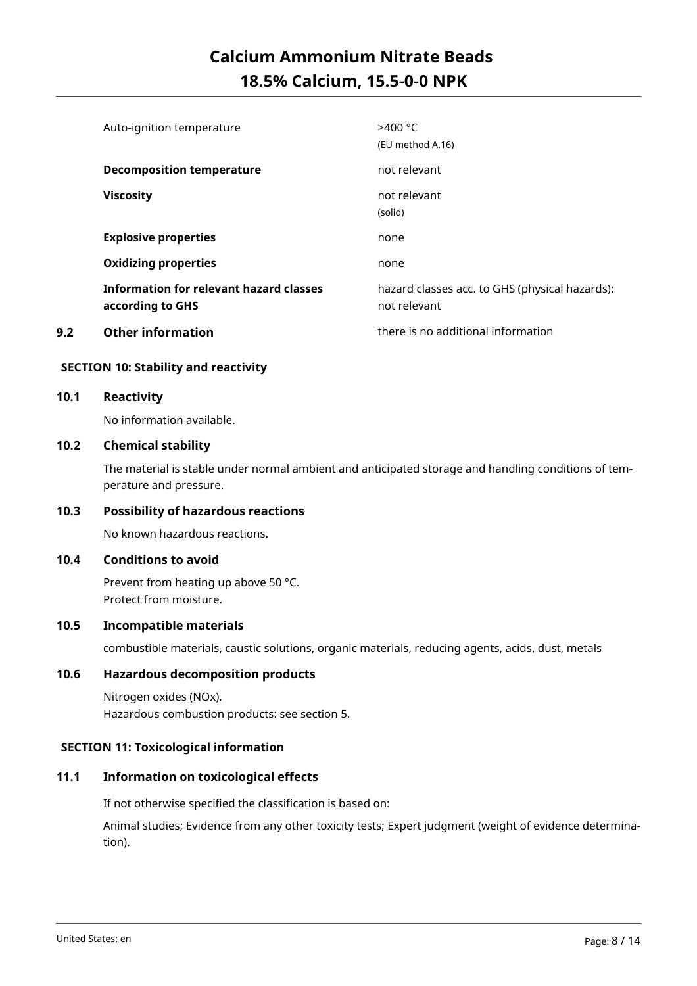|     | Auto-ignition temperature                                   | >400 °C<br>(EU method A.16)                                    |
|-----|-------------------------------------------------------------|----------------------------------------------------------------|
|     | <b>Decomposition temperature</b>                            | not relevant                                                   |
|     | <b>Viscosity</b>                                            | not relevant<br>(solid)                                        |
|     | <b>Explosive properties</b>                                 | none                                                           |
|     | <b>Oxidizing properties</b>                                 | none                                                           |
|     | Information for relevant hazard classes<br>according to GHS | hazard classes acc. to GHS (physical hazards):<br>not relevant |
| 9.2 | <b>Other information</b>                                    | there is no additional information                             |

### **SECTION 10: Stability and reactivity**

### **10.1 Reactivity**

No information available.

### **10.2 Chemical stability**

The material is stable under normal ambient and anticipated storage and handling conditions of temperature and pressure.

### **10.3 Possibility of hazardous reactions**

No known hazardous reactions.

### **10.4 Conditions to avoid**

Prevent from heating up above 50 °C. Protect from moisture.

### **10.5 Incompatible materials**

combustible materials, caustic solutions, organic materials, reducing agents, acids, dust, metals

### **10.6 Hazardous decomposition products**

Nitrogen oxides (NOx). Hazardous combustion products: see section 5.

### **SECTION 11: Toxicological information**

### **11.1 Information on toxicological effects**

If not otherwise specified the classification is based on:

Animal studies; Evidence from any other toxicity tests; Expert judgment (weight of evidence determination).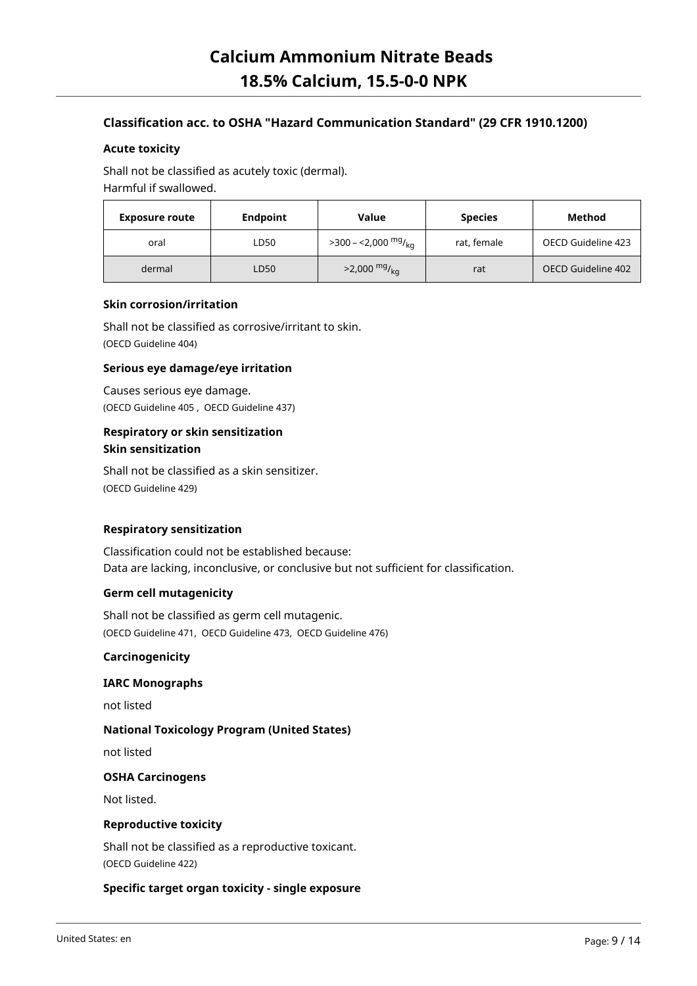### **Classification acc. to OSHA "Hazard Communication Standard" (29 CFR 1910.1200)**

### **Acute toxicity**

Shall not be classified as acutely toxic (dermal). Harmful if swallowed.

| <b>Exposure route</b> | <b>Endpoint</b> |                             | <b>Species</b> | Method             |
|-----------------------|-----------------|-----------------------------|----------------|--------------------|
| oral                  | LD50            | $>$ 300 – <2,000 $mg/_{ka}$ | rat, female    | OECD Guideline 423 |
| dermal                | LD50            | $>2,000$ mg/ <sub>kg</sub>  | rat            | OECD Guideline 402 |

### **Skin corrosion/irritation**

Shall not be classified as corrosive/irritant to skin. (OECD Guideline 404)

### **Serious eye damage/eye irritation**

Causes serious eye damage. (OECD Guideline 405 , OECD Guideline 437)

### **Respiratory or skin sensitization Skin sensitization**

Shall not be classified as a skin sensitizer. (OECD Guideline 429)

### **Respiratory sensitization**

Classification could not be established because: Data are lacking, inconclusive, or conclusive but not sufficient for classification.

### **Germ cell mutagenicity**

Shall not be classified as germ cell mutagenic. (OECD Guideline 471, OECD Guideline 473, OECD Guideline 476)

#### **Carcinogenicity**

### **IARC Monographs**

not listed

### **National Toxicology Program (United States)**

not listed

### **OSHA Carcinogens**

Not listed.

### **Reproductive toxicity**

Shall not be classified as a reproductive toxicant. (OECD Guideline 422)

### **Specific target organ toxicity - single exposure**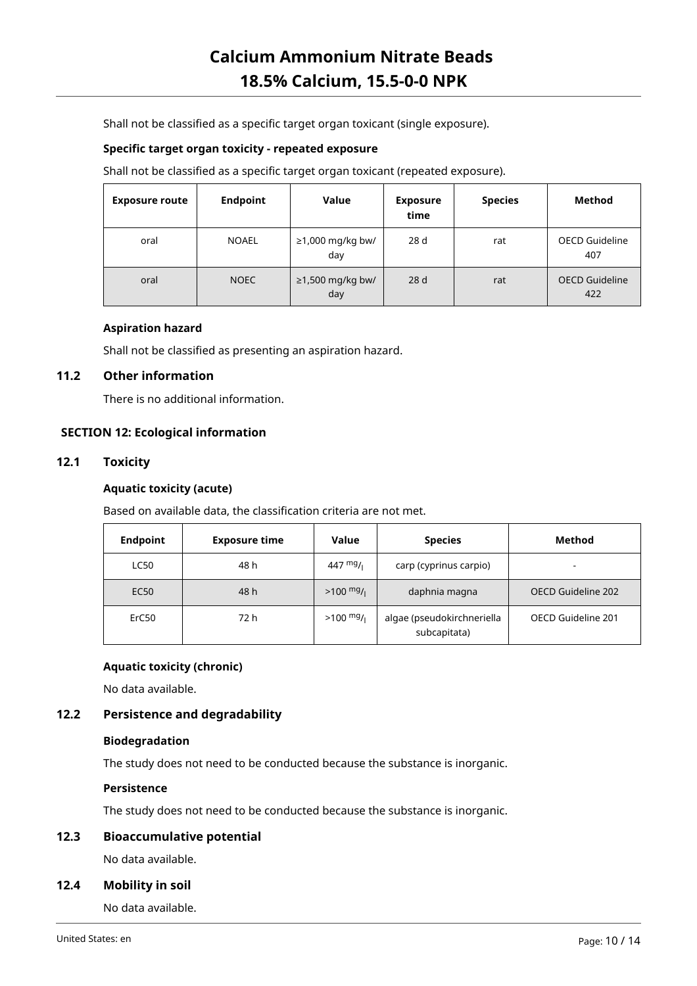Shall not be classified as a specific target organ toxicant (single exposure).

### **Specific target organ toxicity - repeated exposure**

Shall not be classified as a specific target organ toxicant (repeated exposure).

| <b>Exposure route</b> | <b>Endpoint</b> | Value                     | <b>Exposure</b><br>time | <b>Species</b> | Method                       |
|-----------------------|-----------------|---------------------------|-------------------------|----------------|------------------------------|
| oral                  | <b>NOAEL</b>    | ≥1,000 mg/kg bw/<br>day   | 28 d                    | rat            | <b>OECD Guideline</b><br>407 |
| oral                  | <b>NOEC</b>     | $≥1,500$ mg/kg bw/<br>day | 28d                     | rat            | <b>OECD Guideline</b><br>422 |

### **Aspiration hazard**

Shall not be classified as presenting an aspiration hazard.

### **11.2 Other information**

There is no additional information.

### **SECTION 12: Ecological information**

### **12.1 Toxicity**

### **Aquatic toxicity (acute)**

Based on available data, the classification criteria are not met.

| <b>Endpoint</b> | <b>Exposure time</b> | Value               | <b>Species</b>                             | <b>Method</b>            |
|-----------------|----------------------|---------------------|--------------------------------------------|--------------------------|
| <b>LC50</b>     | 48 h                 | 447 $mg/1$          | carp (cyprinus carpio)                     | $\overline{\phantom{0}}$ |
| <b>EC50</b>     | 48 h                 | $>100 \frac{mg}{l}$ | daphnia magna                              | OECD Guideline 202       |
| ErC50           | 72 h                 | $>100 \frac{mg}{l}$ | algae (pseudokirchneriella<br>subcapitata) | OECD Guideline 201       |

### **Aquatic toxicity (chronic)**

No data available.

### **12.2 Persistence and degradability**

### **Biodegradation**

The study does not need to be conducted because the substance is inorganic.

### **Persistence**

The study does not need to be conducted because the substance is inorganic.

### **12.3 Bioaccumulative potential**

No data available.

### **12.4 Mobility in soil**

No data available.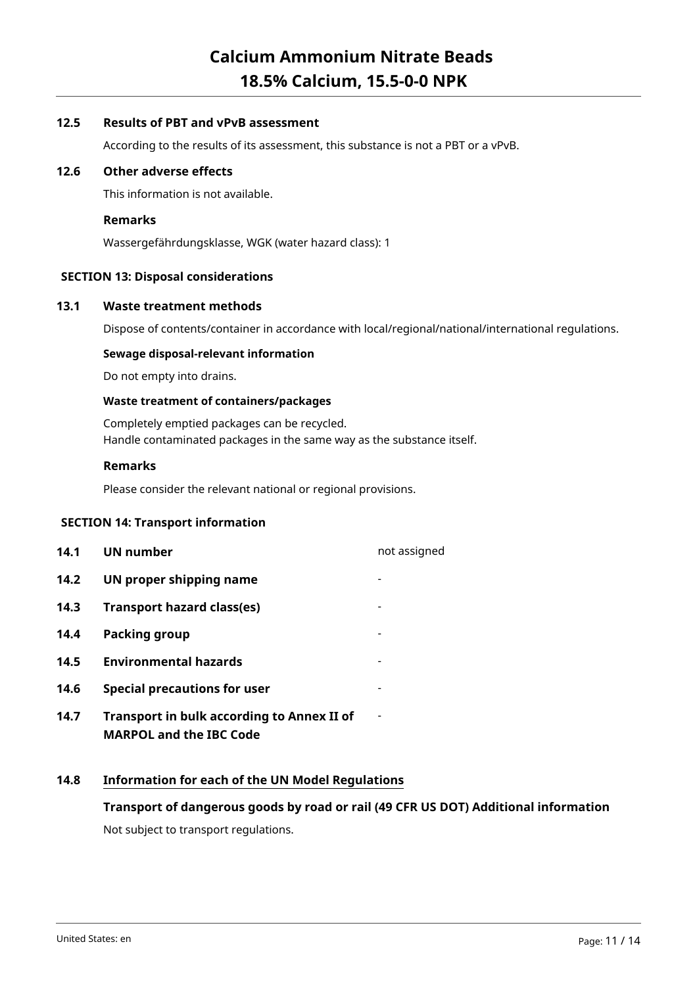### **12.5 Results of PBT and vPvB assessment**

According to the results of its assessment, this substance is not a PBT or a vPvB.

### **12.6 Other adverse effects**

This information is not available.

### **Remarks**

Wassergefährdungsklasse, WGK (water hazard class): 1

### **SECTION 13: Disposal considerations**

### **13.1 Waste treatment methods**

Dispose of contents/container in accordance with local/regional/national/international regulations.

### **Sewage disposal-relevant information**

Do not empty into drains.

### **Waste treatment of containers/packages**

Completely emptied packages can be recycled. Handle contaminated packages in the same way as the substance itself.

### **Remarks**

Please consider the relevant national or regional provisions.

### **SECTION 14: Transport information**

**14.1 UN number** not assigned **14.2 UN proper shipping name 14.3 Transport hazard class(es)** - **14.4 Packing group 14.5 Environmental hazards** - **14.6 Special precautions for user** - **14.7 Transport in bulk according to Annex II of MARPOL and the IBC Code** -

### **14.8 Information for each of the UN Model Regulations**

### **Transport of dangerous goods by road or rail (49 CFR US DOT) Additional information**

Not subject to transport regulations.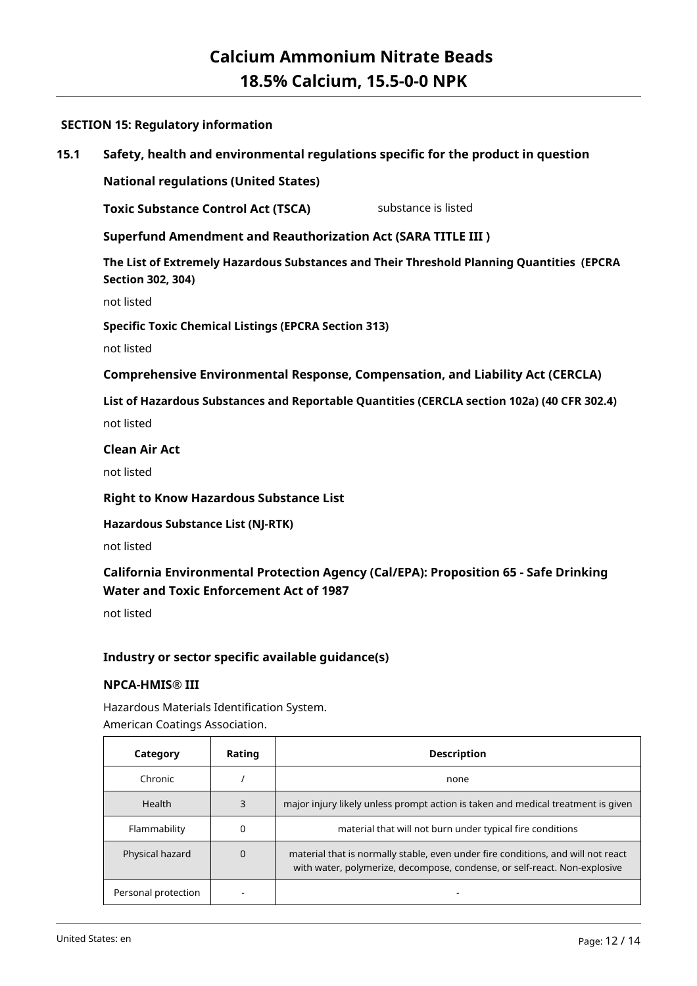### **SECTION 15: Regulatory information**

### **15.1 Safety, health and environmental regulations specific for the product in question**

**National regulations (United States)**

**Toxic Substance Control Act (TSCA)** substance is listed

**Superfund Amendment and Reauthorization Act (SARA TITLE III )**

**The List of Extremely Hazardous Substances and Their Threshold Planning Quantities (EPCRA Section 302, 304)**

not listed

**Specific Toxic Chemical Listings (EPCRA Section 313)**

not listed

**Comprehensive Environmental Response, Compensation, and Liability Act (CERCLA)**

**List of Hazardous Substances and Reportable Quantities (CERCLA section 102a) (40 CFR 302.4)**

not listed

### **Clean Air Act**

not listed

**Right to Know Hazardous Substance List**

**Hazardous Substance List (NJ-RTK)**

not listed

### **California Environmental Protection Agency (Cal/EPA): Proposition 65 - Safe Drinking Water and Toxic Enforcement Act of 1987**

not listed

### **Industry or sector specific available guidance(s)**

### **NPCA-HMIS® III**

Hazardous Materials Identification System. American Coatings Association.

| Category            | Rating | <b>Description</b>                                                                                                                                            |
|---------------------|--------|---------------------------------------------------------------------------------------------------------------------------------------------------------------|
| Chronic             |        | none                                                                                                                                                          |
| <b>Health</b>       | 3      | major injury likely unless prompt action is taken and medical treatment is given                                                                              |
| Flammability        |        | material that will not burn under typical fire conditions                                                                                                     |
| Physical hazard     | 0      | material that is normally stable, even under fire conditions, and will not react<br>with water, polymerize, decompose, condense, or self-react. Non-explosive |
| Personal protection |        |                                                                                                                                                               |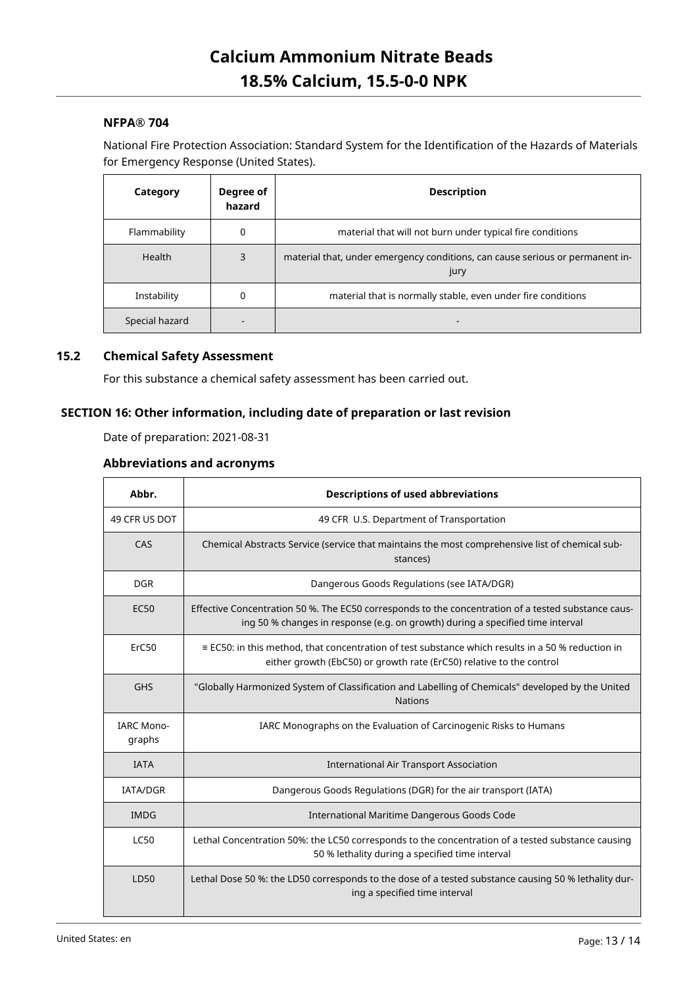### **NFPA® 704**

National Fire Protection Association: Standard System for the Identification of the Hazards of Materials for Emergency Response (United States).

| Category       | Degree of<br>hazard | <b>Description</b>                                                                    |
|----------------|---------------------|---------------------------------------------------------------------------------------|
| Flammability   | 0                   | material that will not burn under typical fire conditions                             |
| Health         | 3                   | material that, under emergency conditions, can cause serious or permanent in-<br>jury |
| Instability    | 0                   | material that is normally stable, even under fire conditions                          |
| Special hazard |                     |                                                                                       |

### **15.2 Chemical Safety Assessment**

For this substance a chemical safety assessment has been carried out.

### **SECTION 16: Other information, including date of preparation or last revision**

Date of preparation: 2021-08-31

### **Abbreviations and acronyms**

| Abbr.                       | <b>Descriptions of used abbreviations</b>                                                                                                                                             |
|-----------------------------|---------------------------------------------------------------------------------------------------------------------------------------------------------------------------------------|
| 49 CFR US DOT               | 49 CFR U.S. Department of Transportation                                                                                                                                              |
| CAS                         | Chemical Abstracts Service (service that maintains the most comprehensive list of chemical sub-<br>stances)                                                                           |
| <b>DGR</b>                  | Dangerous Goods Regulations (see IATA/DGR)                                                                                                                                            |
| <b>EC50</b>                 | Effective Concentration 50 %. The EC50 corresponds to the concentration of a tested substance caus-<br>ing 50 % changes in response (e.g. on growth) during a specified time interval |
| ErC50                       | $\equiv$ EC50: in this method, that concentration of test substance which results in a 50 % reduction in<br>either growth (EbC50) or growth rate (ErC50) relative to the control      |
| <b>GHS</b>                  | "Globally Harmonized System of Classification and Labelling of Chemicals" developed by the United<br><b>Nations</b>                                                                   |
| <b>IARC Mono-</b><br>graphs | IARC Monographs on the Evaluation of Carcinogenic Risks to Humans                                                                                                                     |
| <b>IATA</b>                 | International Air Transport Association                                                                                                                                               |
| <b>IATA/DGR</b>             | Dangerous Goods Regulations (DGR) for the air transport (IATA)                                                                                                                        |
| <b>IMDG</b>                 | International Maritime Dangerous Goods Code                                                                                                                                           |
| <b>LC50</b>                 | Lethal Concentration 50%: the LC50 corresponds to the concentration of a tested substance causing<br>50 % lethality during a specified time interval                                  |
| LD50                        | Lethal Dose 50 %: the LD50 corresponds to the dose of a tested substance causing 50 % lethality dur-<br>ing a specified time interval                                                 |